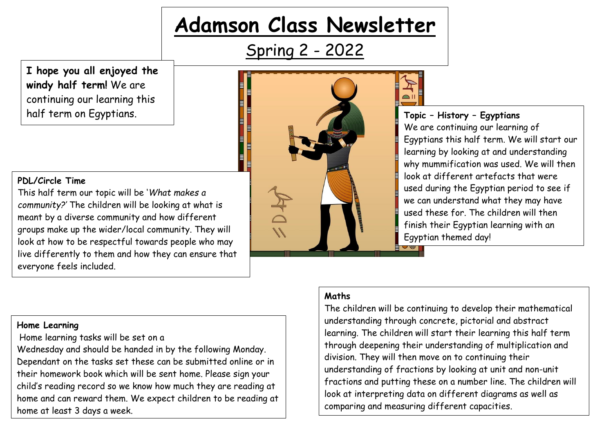# **Adamson Class Newsletter**

Spring 2 - 2022

**I hope you all enjoyed the windy half term!** We are continuing our learning this half term on Egyptians.

# **PDL/Circle Time**

This half term our topic will be '*What makes a community?'* The children will be looking at what is meant by a diverse community and how different groups make up the wider/local community. They will look at how to be respectful towards people who may live differently to them and how they can ensure that everyone feels included.



**Topic – History – Egyptians** We are continuing our learning of Egyptians this half term. We will start our learning by looking at and understanding why mummification was used. We will then look at different artefacts that were used during the Egyptian period to see if we can understand what they may have used these for. The children will then finish their Egyptian learning with an Egyptian themed day!

#### **Home Learning**

Home learning tasks will be set on a

Wednesday and should be handed in by the following Monday. Dependant on the tasks set these can be submitted online or in their homework book which will be sent home. Please sign your child's reading record so we know how much they are reading at home and can reward them. We expect children to be reading at home at least 3 days a week.

# **Maths**

The children will be continuing to develop their mathematical understanding through concrete, pictorial and abstract learning. The children will start their learning this half term through deepening their understanding of multiplication and division. They will then move on to continuing their understanding of fractions by looking at unit and non-unit fractions and putting these on a number line. The children will look at interpreting data on different diagrams as well as comparing and measuring different capacities.